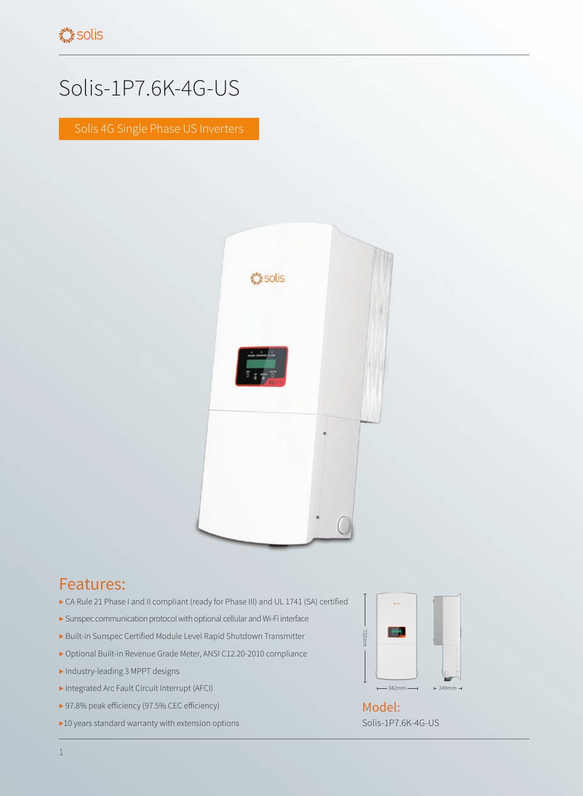## Solis-1P7.6K-4G-US

Solis 4G Single Phase US Inverters



## Features:

- ▶ CA Rule 21 Phase I and II compliant (ready for Phase III) and UL 1741 (SA) certified
- ▶ Sunspec communication protocol with optional cellular and Wi-Fi interface
- ▶ Built-in Sunspec Certified Module Level Rapid Shutdown Transmitter
- ▶ Optional Built-in Revenue Grade Meter, ANSI C12.20-2010 compliance
- ▶ Industry-leading 3 MPPT designs
- ▶ Integrated Arc Fault Circuit Interrupt (AFCI)
- ▶ 97.8% peak efficiency (97.5% CEC efficiency)
- ▶10 years standard warranty with extension options



Solis-1P7.6K-4G-US Model: